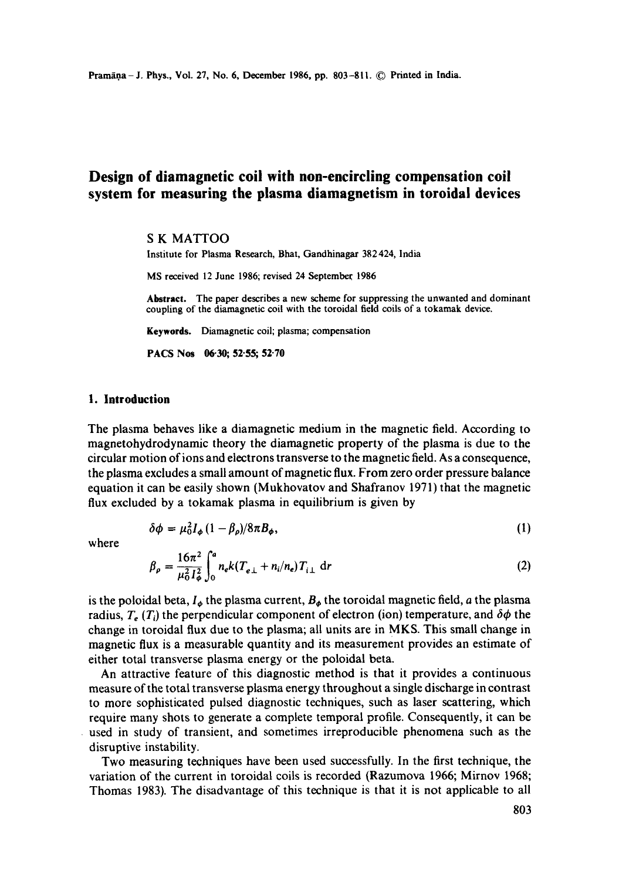# **Design of diamagnetic coil with non-encircling compensation coil system for measuring the plasma diamagnetism in toroidal devices**

## S K MATTOO

Institute for Plasma Research, Bhat, Gandhinagar 382424, India

MS received 12 June 1986; revised 24 Septembec 1986

**Abstract. The paper** describes a new scheme for suppressing the unwanted and dominant coupling of the diamagnetic coil with the toroidal field coils of a tokamak device.

**Keywords.** Diamagnetic coil; plasma; compensation

**PACS Nos 06.30; 52.55; 52.70** 

## **1. Introduction**

The plasma behaves like a diamagnetic medium in the magnetic field. According to magnetohydrodynamic theory the diamagnetic property of the plasma is due to the circular motion of ions and electrons transverse to the magnetic field. As a consequence, the plasma excludes a small amount of magnetic flux. From zero order pressure balance equation it can be easily shown (Mukhovatov and Shafranov 1971) that the magnetic flux excluded by a tokamak plasma in equilibrium is given by

$$
\delta\phi = \mu_0^2 I_\phi \left(1 - \beta_\rho\right) / 8\pi B_\phi,\tag{1}
$$

where

$$
\beta_{\rho} = \frac{16\pi^2}{\mu_0^2 I_{\phi}^2} \int_0^a n_e k (T_{e\perp} + n_i/n_e) T_{i\perp} dr \tag{2}
$$

is the poloidal beta,  $I_{\phi}$  the plasma current,  $B_{\phi}$  the toroidal magnetic field, a the plasma radius,  $T_e$  ( $T_i$ ) the perpendicular component of electron (ion) temperature, and  $\delta\phi$  the change in toroidal flux due to the plasma; all units are in MKS. This small change in magnetic flux is a measurable quantity and its measurement provides an estimate of either total transverse plasma energy or the poloidal beta.

An attractive feature of this diagnostic method is that it provides a continuous measure of the total transverse plasma energy throughout a single discharge in contrast to more sophisticated pulsed diagnostic techniques, such as laser scattering, which require many shots to generate a complete temporal profile. Consequently, it can be used in study of transient, and sometimes irreproducible phenomena such as the disruptive instability.

Two measuring techniques have been used successfully. In the first technique, the variation of the current in toroidat coils is recorded (Razumova 1966; Mirnov 1968; Thomas 1983). The disadvantage of this technique is that it is not applicable to all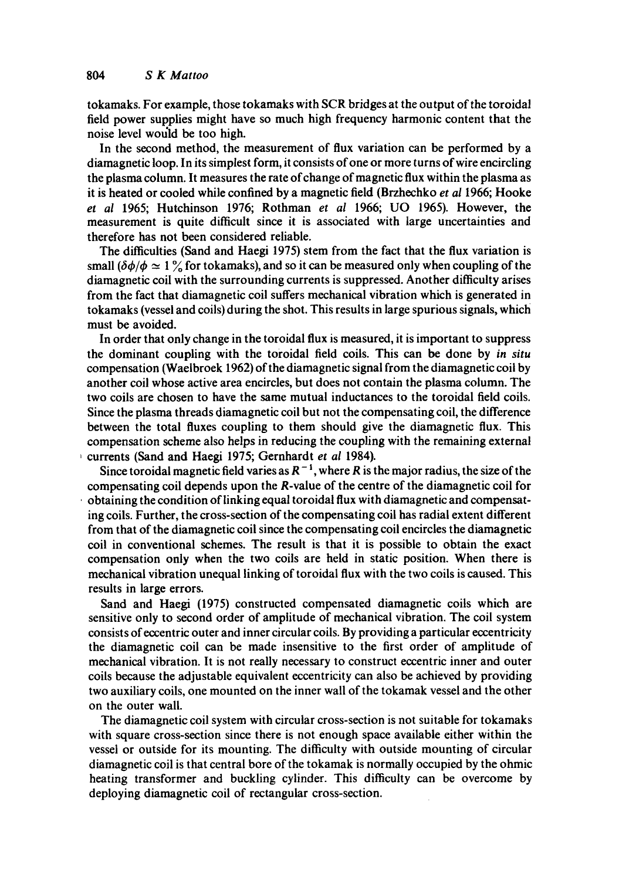tokamaks. For example, those tokamaks with SCR bridges at the output of the toroidal field power supplies might have so much high frequency harmonic content that the noise level would be too high.

In the second method, the measurement of flux variation can be performed by a diamagnetic loop. In its simplest form, it consists of one or more turns of wire encircling the plasma column. It measures the rate of change of magnetic flux within the plasma as it is heated or cooled while confined by a magnetic field (Brzhechko *et al* 1966; Hooke *et al* 1965; Hutchinson 1976; Rothman *et al* 1966; UO 1965). However, the measurement is quite difficult since it is associated with large uncertainties and therefore has not been considered reliable.

The difficulties (Sand and Haegi 1975) stem from the fact that the flux variation is small  $(\delta \phi/\phi \simeq 1\%$  for tokamaks), and so it can be measured only when coupling of the diamagnetic coil with the surrounding currents is suppressed. Another difficulty arises from the fact that diamagnetic coil suffers mechanical vibration which is generated in tokamaks (vessel and coils) during the shot. This results in large spurious signals, which must be avoided.

In order that only change in the toroidal flux is measured, it is important to suppress the dominant coupling with the toroidal field coils. This can be done by *in situ*  compensation (Waelbroek 1962) of the diamagnetic signal from the diamagnetic coil by another coil whose active area encircles, but does not contain the plasma column. The two coils are chosen to have the same mutual inductances to the toroidal field coils. Since the plasma threads diamagnetic coil but not the compensating coil, the difference between the total fluxes coupling to them should give the diamagnetic flux. This compensation scheme also helps in reducing the coupling with the remaining external , currents (Sand and Haegi 1975; Gernhardt *et al* 1984).

Since toroidal magnetic field varies as  $R^{-1}$ , where R is the major radius, the size of the compensating coil depends upon the R-value of the centre of the diamagnetic coil for obtaining the condition of linking equal toroidal flux with diamagnetic and compensating coils. Further, the cross-section of the compensating coil has radial extent different from that of the diamagnetic coil since the compensating coil encircles the diamagnetic coil in conventional schemes. The result is that it is possible to obtain the exact compensation only when the two coils are held in static position. When there is mechanical vibration unequal linking of toroidal flux with the two coils is caused. This results in large errors.

Sand and Haegi (1975) constructed compensated diamagnetic coils which are sensitive only to second order of amplitude of mechanical vibration. The coil system consists of eccentric outer and inner circular coils. By providing a particular eccentricity the diamagnetic coil can be made insensitive to the first order of amplitude of mechanical vibration. It is not really necessary to construct eccentric inner and outer coils because the adjustable equivalent eccentricity can also be achieved by providing two auxiliary coils, one mounted on the inner wall of the tokamak vessel and the other on the outer wall.

The diamagnetic coil system with circular cross-section is not suitable for tokamaks with square cross-section since there is not enough space available either within the vessel or outside for its mounting. The difficulty with outside mounting of circular diamagnetic coil is that central bore of the tokamak is normally occupied by the ohmic heating transformer and buckling cylinder. This difficulty can be overcome by deploying diamagnetic coil of rectangular cross-section.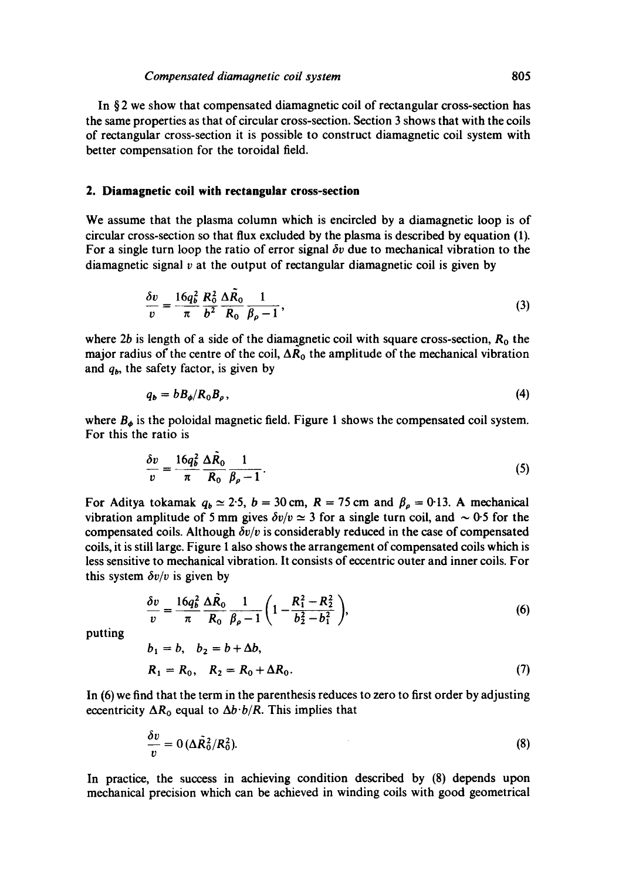In § 2 we show that compensated diamagnetic coil of rectangular cross-section has the same properties as that of circular cross-section. Section 3 shows that with the coils of rectangular cross-section it is possible to construct diamagnetic coil system with better compensation for the toroidal field.

#### **2. Diamagnetic coil with rectangular cross-section**

We assume that the plasma column which is encircled by a diamagnetic loop is of circular cross-section so that flux excluded by the plasma is described by equation (1). For a single turn loop the ratio of error signal  $\delta v$  due to mechanical vibration to the diamagnetic signal  $\nu$  at the output of rectangular diamagnetic coil is given by

$$
\frac{\delta v}{v} = \frac{16q_b^2}{\pi} \frac{R_0^2}{b^2} \frac{\Delta \tilde{R}_0}{R_0} \frac{1}{\beta_\rho - 1},\tag{3}
$$

where 2b is length of a side of the diamagnetic coil with square cross-section,  $R_0$  the major radius of the centre of the coil,  $\Delta R_0$  the amplitude of the mechanical vibration and  $q<sub>b</sub>$ , the safety factor, is given by

$$
q_b = b B_{\phi} / R_0 B_{\rho}, \tag{4}
$$

where  $B_{\phi}$  is the poloidal magnetic field. Figure 1 shows the compensated coil system. For this the ratio is

$$
\frac{\delta v}{v} = \frac{16q_b^2}{\pi} \frac{\Delta R_0}{R_0} \frac{1}{\beta_\rho - 1}.
$$
\n(5)

For Aditya tokamak  $q_b \approx 2.5$ ,  $b = 30$  cm,  $R = 75$  cm and  $\beta_\rho = 0.13$ . A mechanical vibration amplitude of 5 mm gives  $\delta v/v \approx 3$  for a single turn coil, and  $\sim 0.5$  for the compensated coils. Although  $\delta v/v$  is considerably reduced in the case of compensated coils, it is still large. Figure 1 also shows the arrangement of compensated coils which is less sensitive to mechanical vibration. It consists of eccentric outer and inner coils. For this system  $\delta v/v$  is given by

$$
\frac{\delta v}{v} = \frac{16q_b^2}{\pi} \frac{\Delta \bar{R}_0}{R_0} \frac{1}{\beta_\rho - 1} \left( 1 - \frac{R_1^2 - R_2^2}{b_2^2 - b_1^2} \right),\tag{6}
$$

putting

$$
b_1 = b, b_2 = b + \Delta b,
$$
  
\n $R_1 = R_0, R_2 = R_0 + \Delta R_0.$  (7)

In (6) we find that the term in the parenthesis reduces to zero to first order by adjusting eccentricity  $\Delta R_0$  equal to  $\Delta b \cdot b/R$ . This implies that

$$
\frac{\partial v}{v} = 0 \left( \Delta \tilde{R}_0^2 / R_0^2 \right).
$$
 (8)

In practice, the success in achieving condition described by (8) depends upon mechanical precision which can be achieved in winding coils with good geometrical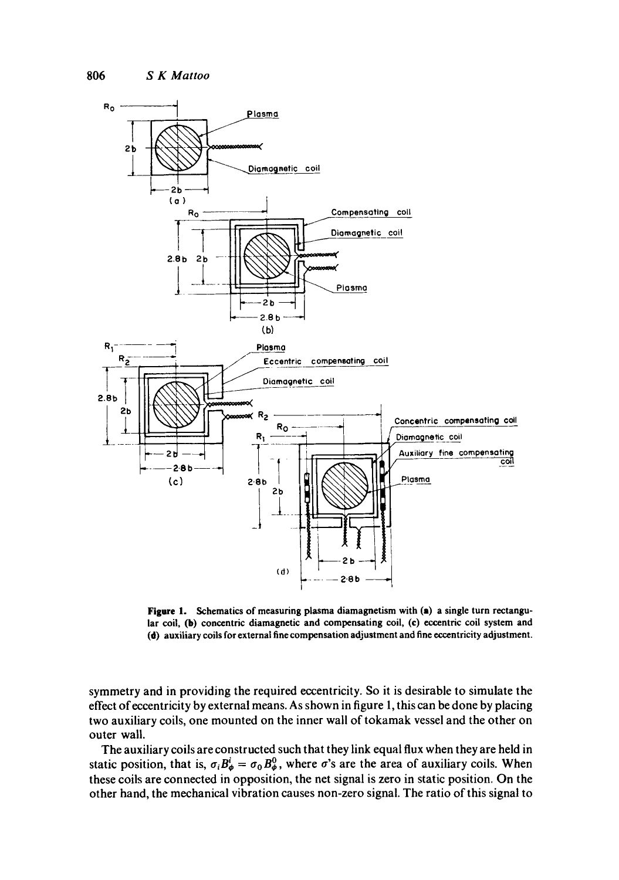

**Figure** 1. Schematics of measuring plasma diamagnetism with (a) a single turn rectangular coil, (b) concentric diamagnetic and compensating coil, (c) eccentric coil system and (d) auxiliary coils for external fine compensation adjustment and fine eccentricity adjustment.

symmetry and in providing the required eccentricity. So it is desirable to simulate the effect of eccentricity by external means. As shown in figure 1, this can be done by placing two auxiliary coils, one mounted on the inner wall of tokamak vessel and the other on outer wall.

The auxiliary coils are constructed such that they link equal flux when they are held in static position, that is,  $\sigma_i B^i_{\phi} = \sigma_0 B^0_{\phi}$ , where  $\sigma$ 's are the area of auxiliary coils. When these coils are connected in opposition, the net signal is zero in static position. On the other hand, the mechanical vibration causes non-zero signal. The ratio of this signal to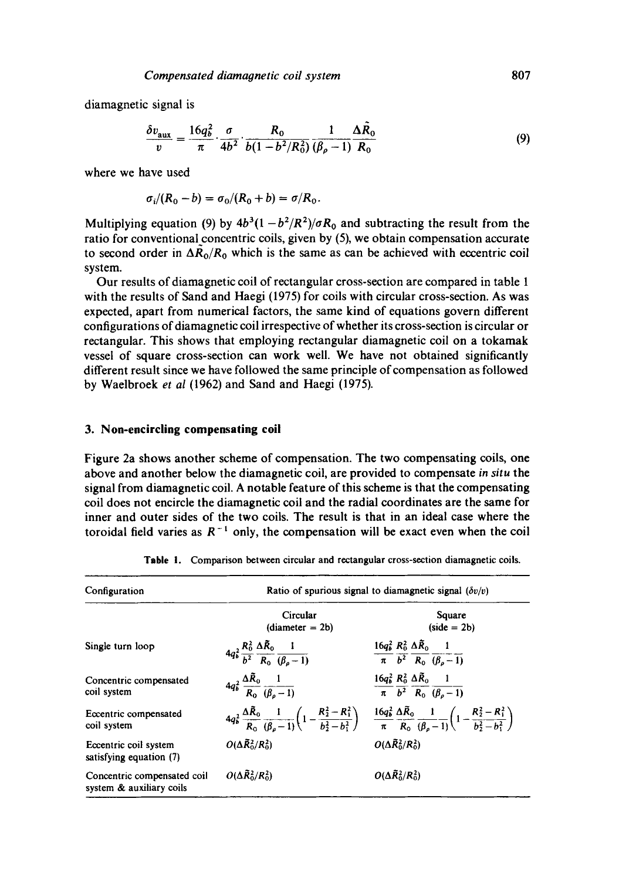diamagnetic signal is

$$
\frac{\delta v_{\text{aux}}}{v} = \frac{16q_b^2}{\pi} \cdot \frac{\sigma}{4b^2} \cdot \frac{R_0}{b(1 - b^2/R_0^2)} \frac{1}{(\beta_\rho - 1)} \frac{\Delta R_0}{R_0} \tag{9}
$$

where we have used

$$
\sigma_i/(R_0-b)=\sigma_0/(R_0+b)=\sigma/R_0.
$$

Multiplying equation (9) by  $4b^3(1-b^2/R^2)/\sigma R_0$  and subtracting the result from the ratio for conventional concentric coils, given by (5), we obtain compensation accurate to second order in  $\Delta \tilde{R}_0/R_0$  which is the same as can be achieved with eccentric coil system.

Our results of diamagnetic coil of rectangular cross-section are compared in table 1 with the results of Sand and Haegi (1975) for coils with circular cross-section. As was expected, apart from numerical factors, the same kind of equations govern different configurations of diamagnetic coil irrespective of whether its cross-section is circular or rectangular. This shows that employing rectangular diamagnetic coil on a tokamak vessel of square cross-section can work well. We have not obtained significantly different result since we have followed the same principle of compensation as followed by Waelbroek *et al* (1962) and Sand and Haegi (1975).

# **3. Non-encircling compensating coil**

Figure 2a shows another scheme of compensation. The two compensating coils, one above and another below the diamagnetic coil, are provided to compensate *in situ* the signal from diamagnetic coil. A notable feature of this scheme is that the compensating coil does not encircle the diamagnetic coil and the radial coordinates are the same for inner and outer sides of the two coils. The result is that in an ideal case where the toroidal field varies as  $R^{-1}$  only, the compensation will be exact even when the coil

| Configuration                                           | Ratio of spurious signal to diamagnetic signal $(\delta v/v)$                     |                                                                                                                                                                                                                                                |  |  |  |
|---------------------------------------------------------|-----------------------------------------------------------------------------------|------------------------------------------------------------------------------------------------------------------------------------------------------------------------------------------------------------------------------------------------|--|--|--|
|                                                         | Circular<br>$(diameter = 2b)$                                                     | Square<br>$(side = 2b)$                                                                                                                                                                                                                        |  |  |  |
| Single turn loop                                        | $4q_b^2 \frac{R_0^2}{b^2} \frac{\Delta \tilde{R}_0}{R_0} \frac{1}{(\beta_0 - 1)}$ | $\frac{16q_b^2}{\pi} \frac{R_0^2}{b^2} \frac{\Delta \tilde{R}_0}{R_0} \frac{1}{(\beta_o - 1)}$                                                                                                                                                 |  |  |  |
| Concentric compensated<br>coil system                   | $4q_b^2 \frac{\Delta \bar{R}_0}{R_0} \frac{1}{(\beta_0-1)}$                       | $\frac{16q_b^2}{\pi} \frac{R_0^2}{b^2} \frac{\Delta \tilde{R}_0}{R_0} \frac{1}{(\beta_o - 1)}$                                                                                                                                                 |  |  |  |
| Eccentric compensated<br>coil system                    |                                                                                   | $4q_b^2 \frac{\Delta \bar{R}_0}{R_0} \frac{1}{(\beta_0-1)} \left(1 - \frac{R_2^2 - R_1^2}{h_2^2 - h_1^2}\right) = \frac{16q_b^2}{\pi} \frac{\Delta \bar{R}_0}{R_0} \frac{1}{(\beta_0-1)} \left(1 - \frac{R_2^2 - R_1^2}{h_2^2 - h_1^2}\right)$ |  |  |  |
| Eccentric coil system<br>satisfying equation (7)        | $O(\Delta \bar{R}_0^2/R_0^2)$                                                     | $O(\Delta \widetilde{R}_0^2/R_0^2)$                                                                                                                                                                                                            |  |  |  |
| Concentric compensated coil<br>system & auxiliary coils | $O(\Delta \widetilde{R}_0^2/R_0^2)$                                               | $O(\Delta \bar{R}_0^2/R_0^2)$                                                                                                                                                                                                                  |  |  |  |

|  | Table 1. |  |  |  |  |  |  |  | Comparison between circular and rectangular cross-section diamagnetic coils. |
|--|----------|--|--|--|--|--|--|--|------------------------------------------------------------------------------|
|--|----------|--|--|--|--|--|--|--|------------------------------------------------------------------------------|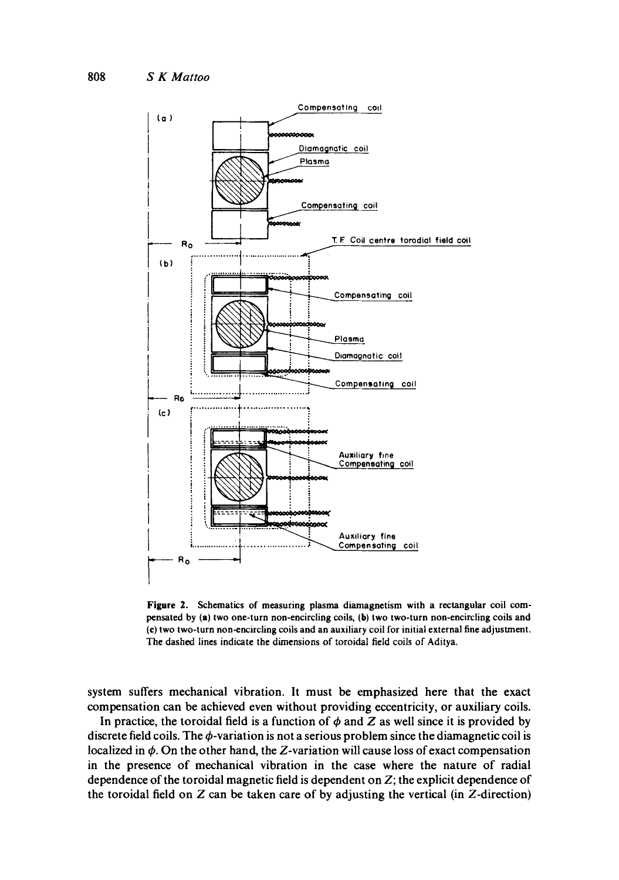

**Figure Z. Schematics of measuring plasma diamagnetism with a rectangular coil com**pensated by (a) two one-turn non-encircling coils, (b) two two-turn non-encircling coils and **(e) two two-turn non-encircling coils and an auxiliary coil for initial external fine adjustment. The dashed lines indicate the dimensions of toroidal field coils of Aditya.** 

**system suffers mechanical vibration. It must be emphasized here that the exact compensation can be achieved even without providing eccentricity, or auxiliary coils.** 

In practice, the toroidal field is a function of  $\phi$  and  $Z$  as well since it is provided by discrete field coils. The  $\phi$ -variation is not a serious problem since the diamagnetic coil is localized in  $\phi$ . On the other hand, the Z-variation will cause loss of exact compensation **in the presence of mechanical vibration in the case where the nature of radial dependence of the toroidal magnetic field is dependent on Z; the explicit dependence of the toroidal field on Z can be taken care of by adjusting the vertical (in Z-direction)**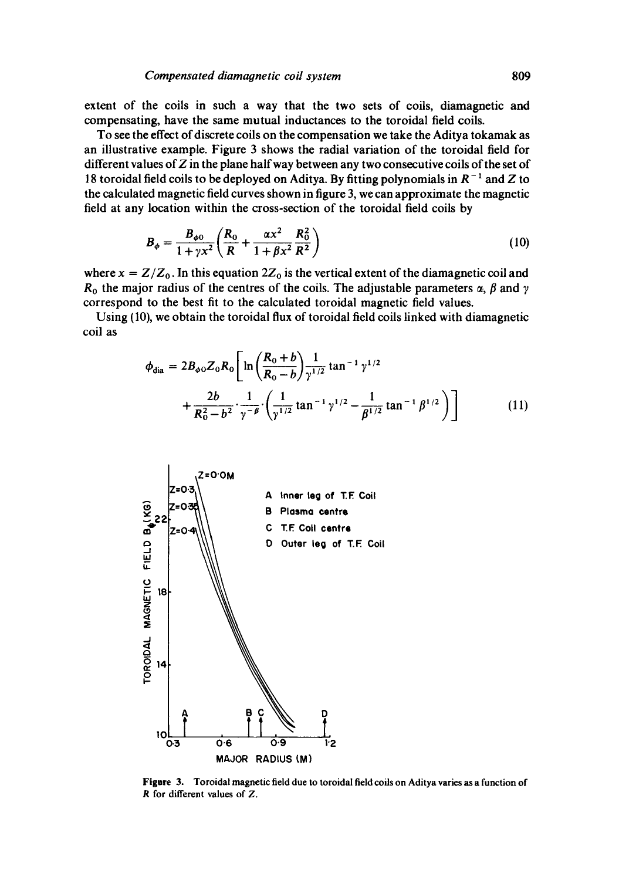extent of the coils in such a way that the two sets of coils, diamagnetic and compensating, have the same mutual inductances to the toroidal field coils.

To see the effect of discrete coils on the compensation we take the Aditya tokamak as an illustrative example. Figure 3 shows the radial variation of the toroidal field for different values of  $Z$  in the plane half way between any two consecutive coils of the set of 18 toroidal field coils to be deployed on Aditya. By fitting polynomials in  $R^{-1}$  and Z to the calculated magnetic field curves shown in figure 3, we can approximate the magnetic field at any location within the cross-section of the toroidal field coils by

$$
B_{\phi} = \frac{B_{\phi 0}}{1 + \gamma x^2} \left( \frac{R_0}{R} + \frac{\alpha x^2}{1 + \beta x^2} \frac{R_0^2}{R^2} \right)
$$
 (10)

where  $x = Z/Z_0$ . In this equation  $2Z_0$  is the vertical extent of the diamagnetic coil and  $R_0$  the major radius of the centres of the coils. The adjustable parameters  $\alpha$ ,  $\beta$  and  $\gamma$ correspond to the best fit to the calculated toroidal magnetic field values.

Using (10), we obtain the toroidal flux of toroidal field coils linked with diamagnetic coil as

$$
\phi_{\text{dia}} = 2B_{\phi 0} Z_0 R_0 \left[ \ln \left( \frac{R_0 + b}{R_0 - b} \right) \frac{1}{\gamma^{1/2}} \tan^{-1} \gamma^{1/2} + \frac{2b}{R_0^2 - b^2} \cdot \frac{1}{\gamma^{-\beta}} \cdot \left( \frac{1}{\gamma^{1/2}} \tan^{-1} \gamma^{1/2} - \frac{1}{\beta^{1/2}} \tan^{-1} \beta^{1/2} \right) \right]
$$
(11)



**Figure 3.**  Toroidal magnetic field due to toroidal field coils on Aditya varies as a function of R for different values of Z.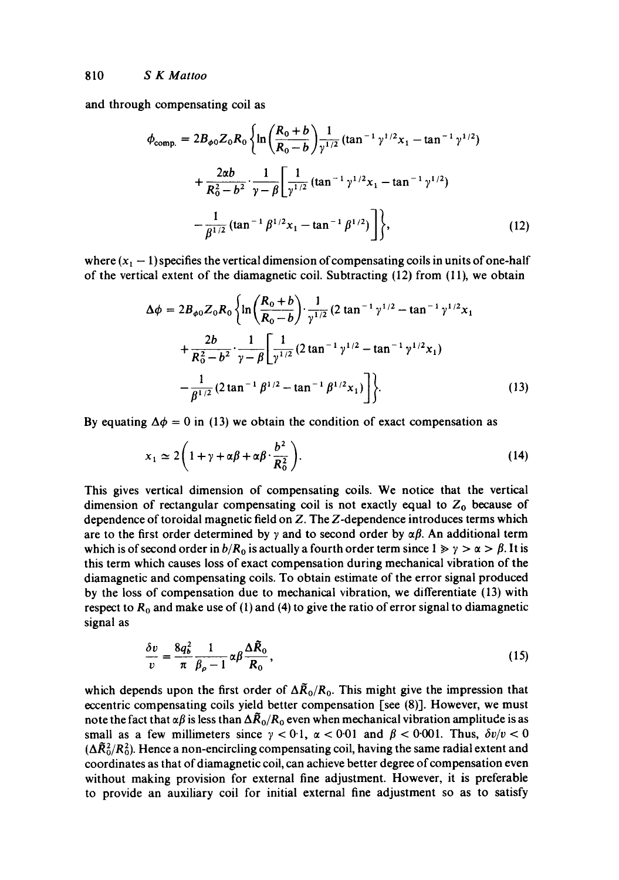and through compensating coil as

$$
\phi_{\text{comp.}} = 2B_{\phi 0} Z_0 R_0 \left\{ \ln \left( \frac{R_0 + b}{R_0 - b} \right) \frac{1}{\gamma^{1/2}} (\tan^{-1} \gamma^{1/2} x_1 - \tan^{-1} \gamma^{1/2}) + \frac{2\alpha b}{R_0^2 - b^2} \cdot \frac{1}{\gamma - \beta} \left[ \frac{1}{\gamma^{1/2}} (\tan^{-1} \gamma^{1/2} x_1 - \tan^{-1} \gamma^{1/2}) - \frac{1}{\beta^{1/2}} (\tan^{-1} \beta^{1/2} x_1 - \tan^{-1} \beta^{1/2}) \right] \right\},
$$
\n(12)

where  $(x_1 - 1)$  specifies the vertical dimension of compensating coils in units of one-half of the vertical extent of the diamagnetic coil. Subtracting (12) from (11), we obtain

$$
\Delta \phi = 2B_{\phi 0} Z_0 R_0 \left\{ \ln \left( \frac{R_0 + b}{R_0 - b} \right) \cdot \frac{1}{\gamma^{1/2}} (2 \tan^{-1} \gamma^{1/2} - \tan^{-1} \gamma^{1/2} x_1 + \frac{2b}{R_0^2 - b^2} \cdot \frac{1}{\gamma - \beta} \left[ \frac{1}{\gamma^{1/2}} (2 \tan^{-1} \gamma^{1/2} - \tan^{-1} \gamma^{1/2} x_1) - \frac{1}{\beta^{1/2}} (2 \tan^{-1} \beta^{1/2} - \tan^{-1} \beta^{1/2} x_1) \right] \right\}.
$$
 (13)

By equating  $\Delta \phi = 0$  in (13) we obtain the condition of exact compensation as

$$
x_1 \simeq 2\left(1 + \gamma + \alpha\beta + \alpha\beta \cdot \frac{b^2}{R_0^2}\right). \tag{14}
$$

This gives vertical dimension of compensating coils. We notice that the vertical dimension of rectangular compensating coil is not exactly equal to  $Z_0$  because of dependence of toroidal magnetic field on Z. The Z-dependence introduces terms which are to the first order determined by  $\gamma$  and to second order by  $\alpha\beta$ . An additional term which is of second order in  $b/R_0$  is actually a fourth order term since  $1 \gg \gamma > \alpha > \beta$ . It is this term which causes loss of exact compensation during mechanical vibration of the diamagnetic and compensating coils. To obtain estimate of the error signal produced by the loss of compensation due to mechanical vibration, we differentiate (13) with respect to  $R_0$  and make use of (1) and (4) to give the ratio of error signal to diamagnetic signal as

$$
\frac{\delta v}{v} = \frac{8q_b^2}{\pi} \frac{1}{\beta_\rho - 1} \alpha \beta \frac{\Delta \tilde{R}_0}{R_0},\tag{15}
$$

which depends upon the first order of  $\Delta \tilde{R}_0/R_0$ . This might give the impression that eccentric compensating coils yield better compensation [see (8)]. However, we must note the fact that  $\alpha\beta$  is less than  $\Delta \vec{R}_0/R_0$  even when mechanical vibration amplitude is as small as a few millimeters since  $\gamma < 0.1$ ,  $\alpha < 0.01$  and  $\beta < 0.001$ . Thus,  $\delta v/v < 0$  $(\Delta \tilde{R}_0^2/R_0^2)$ . Hence a non-encircling compensating coil, having the same radial extent and coordinates as that of diamagnetic coil, can achieve better degree of compensation even without making provision for external fine adjustment. However, it is preferable to provide an auxiliary coil for initial external fine adjustment so as to satisfy